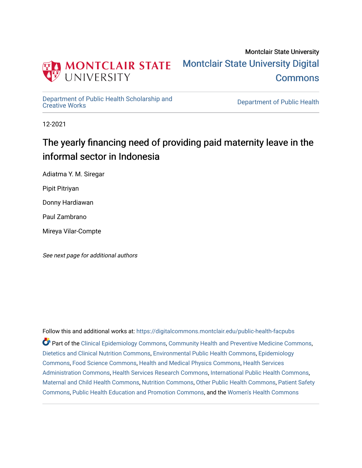

# Montclair State University [Montclair State University Digital](https://digitalcommons.montclair.edu/)  **Commons**

[Department of Public Health Scholarship and](https://digitalcommons.montclair.edu/public-health-facpubs) 

Department of Public Health

12-2021

# The yearly financing need of providing paid maternity leave in the informal sector in Indonesia

Adiatma Y. M. Siregar

Pipit Pitriyan

Donny Hardiawan

Paul Zambrano

Mireya Vilar-Compte

See next page for additional authors

Follow this and additional works at: [https://digitalcommons.montclair.edu/public-health-facpubs](https://digitalcommons.montclair.edu/public-health-facpubs?utm_source=digitalcommons.montclair.edu%2Fpublic-health-facpubs%2F200&utm_medium=PDF&utm_campaign=PDFCoverPages)  Part of the [Clinical Epidemiology Commons,](http://network.bepress.com/hgg/discipline/815?utm_source=digitalcommons.montclair.edu%2Fpublic-health-facpubs%2F200&utm_medium=PDF&utm_campaign=PDFCoverPages) [Community Health and Preventive Medicine Commons](http://network.bepress.com/hgg/discipline/744?utm_source=digitalcommons.montclair.edu%2Fpublic-health-facpubs%2F200&utm_medium=PDF&utm_campaign=PDFCoverPages), [Dietetics and Clinical Nutrition Commons,](http://network.bepress.com/hgg/discipline/662?utm_source=digitalcommons.montclair.edu%2Fpublic-health-facpubs%2F200&utm_medium=PDF&utm_campaign=PDFCoverPages) [Environmental Public Health Commons,](http://network.bepress.com/hgg/discipline/739?utm_source=digitalcommons.montclair.edu%2Fpublic-health-facpubs%2F200&utm_medium=PDF&utm_campaign=PDFCoverPages) [Epidemiology](http://network.bepress.com/hgg/discipline/740?utm_source=digitalcommons.montclair.edu%2Fpublic-health-facpubs%2F200&utm_medium=PDF&utm_campaign=PDFCoverPages) [Commons](http://network.bepress.com/hgg/discipline/740?utm_source=digitalcommons.montclair.edu%2Fpublic-health-facpubs%2F200&utm_medium=PDF&utm_campaign=PDFCoverPages), [Food Science Commons](http://network.bepress.com/hgg/discipline/84?utm_source=digitalcommons.montclair.edu%2Fpublic-health-facpubs%2F200&utm_medium=PDF&utm_campaign=PDFCoverPages), [Health and Medical Physics Commons,](http://network.bepress.com/hgg/discipline/741?utm_source=digitalcommons.montclair.edu%2Fpublic-health-facpubs%2F200&utm_medium=PDF&utm_campaign=PDFCoverPages) [Health Services](http://network.bepress.com/hgg/discipline/747?utm_source=digitalcommons.montclair.edu%2Fpublic-health-facpubs%2F200&utm_medium=PDF&utm_campaign=PDFCoverPages)  [Administration Commons,](http://network.bepress.com/hgg/discipline/747?utm_source=digitalcommons.montclair.edu%2Fpublic-health-facpubs%2F200&utm_medium=PDF&utm_campaign=PDFCoverPages) [Health Services Research Commons,](http://network.bepress.com/hgg/discipline/816?utm_source=digitalcommons.montclair.edu%2Fpublic-health-facpubs%2F200&utm_medium=PDF&utm_campaign=PDFCoverPages) [International Public Health Commons](http://network.bepress.com/hgg/discipline/746?utm_source=digitalcommons.montclair.edu%2Fpublic-health-facpubs%2F200&utm_medium=PDF&utm_campaign=PDFCoverPages), [Maternal and Child Health Commons,](http://network.bepress.com/hgg/discipline/745?utm_source=digitalcommons.montclair.edu%2Fpublic-health-facpubs%2F200&utm_medium=PDF&utm_campaign=PDFCoverPages) [Nutrition Commons](http://network.bepress.com/hgg/discipline/95?utm_source=digitalcommons.montclair.edu%2Fpublic-health-facpubs%2F200&utm_medium=PDF&utm_campaign=PDFCoverPages), [Other Public Health Commons](http://network.bepress.com/hgg/discipline/748?utm_source=digitalcommons.montclair.edu%2Fpublic-health-facpubs%2F200&utm_medium=PDF&utm_campaign=PDFCoverPages), [Patient Safety](http://network.bepress.com/hgg/discipline/1410?utm_source=digitalcommons.montclair.edu%2Fpublic-health-facpubs%2F200&utm_medium=PDF&utm_campaign=PDFCoverPages)  [Commons](http://network.bepress.com/hgg/discipline/1410?utm_source=digitalcommons.montclair.edu%2Fpublic-health-facpubs%2F200&utm_medium=PDF&utm_campaign=PDFCoverPages), [Public Health Education and Promotion Commons](http://network.bepress.com/hgg/discipline/743?utm_source=digitalcommons.montclair.edu%2Fpublic-health-facpubs%2F200&utm_medium=PDF&utm_campaign=PDFCoverPages), and the [Women's Health Commons](http://network.bepress.com/hgg/discipline/1241?utm_source=digitalcommons.montclair.edu%2Fpublic-health-facpubs%2F200&utm_medium=PDF&utm_campaign=PDFCoverPages)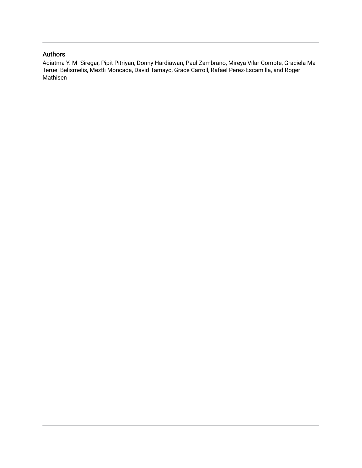# Authors

Adiatma Y. M. Siregar, Pipit Pitriyan, Donny Hardiawan, Paul Zambrano, Mireya Vilar-Compte, Graciela Ma Teruel Belismelis, Meztli Moncada, David Tamayo, Grace Carroll, Rafael Perez-Escamilla, and Roger Mathisen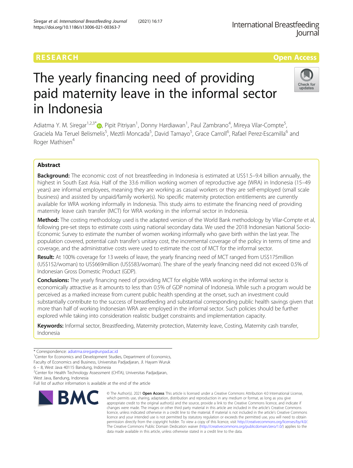# The yearly financing need of providing paid maternity leave in the informal sector in Indonesia

Adiatma Y. M. Siregar<sup>1[,](http://orcid.org/0000-0003-0747-1596)2,3\*</sup>®, Pipit Pitriyan<sup>1</sup>, Donny Hardiawan<sup>1</sup>, Paul Zambrano<sup>4</sup>, Mireya Vilar-Compte<sup>5</sup> , Graciela Ma Teruel Belismelis<sup>5</sup>, Meztli Moncada<sup>5</sup>, David Tamayo<sup>5</sup>, Grace Carroll<sup>6</sup>, Rafael Perez-Escamilla<sup>6</sup> and Roger Mathisen<sup>4</sup>

# Abstract

**Background:** The economic cost of not breastfeeding in Indonesia is estimated at US\$1.5–9.4 billion annually, the highest in South East Asia. Half of the 33.6 million working women of reproductive age (WRA) in Indonesia (15–49 years) are informal employees, meaning they are working as casual workers or they are self-employed (small scale business) and assisted by unpaid/family worker(s). No specific maternity protection entitlements are currently available for WRA working informally in Indonesia. This study aims to estimate the financing need of providing maternity leave cash transfer (MCT) for WRA working in the informal sector in Indonesia.

Method: The costing methodology used is the adapted version of the World Bank methodology by Vilar-Compte et al, following pre-set steps to estimate costs using national secondary data. We used the 2018 Indonesian National Socio-Economic Survey to estimate the number of women working informally who gave birth within the last year. The population covered, potential cash transfer's unitary cost, the incremental coverage of the policy in terms of time and coverage, and the administrative costs were used to estimate the cost of MCT for the informal sector.

Result: At 100% coverage for 13 weeks of leave, the yearly financing need of MCT ranged from US\$175million (US\$152/woman) to US\$669million (US\$583/woman). The share of the yearly financing need did not exceed 0.5% of Indonesian Gross Domestic Product (GDP).

**Conclusions:** The yearly financing need of providing MCT for eligible WRA working in the informal sector is economically attractive as it amounts to less than 0.5% of GDP nominal of Indonesia. While such a program would be perceived as a marked increase from current public health spending at the onset, such an investment could substantially contribute to the success of breastfeeding and substantial corresponding public health savings given that more than half of working Indonesian WRA are employed in the informal sector. Such policies should be further explored while taking into consideration realistic budget constraints and implementation capacity.

Keywords: Informal sector, Breastfeeding, Maternity protection, Maternity leave, Costing, Maternity cash transfer, Indonesia

West Java, Bandung, Indonesia



© The Author(s), 2021 **Open Access** This article is licensed under a Creative Commons Attribution 4.0 International License,



<sup>\*</sup> Correspondence: [adiatma.siregar@unpad.ac.id](mailto:adiatma.siregar@unpad.ac.id) <sup>1</sup>

<sup>&</sup>lt;sup>1</sup>Center for Economics and Development Studies, Department of Economics, Faculty of Economics and Business, Universitas Padjadjaran, Jl. Hayam Wuruk

<sup>6</sup> – 8, West Java 40115 Bandung, Indonesia <sup>2</sup>

<sup>&</sup>lt;sup>2</sup> Center for Health Technology Assessment (CHTA), Universitas Padjadjaran,

Full list of author information is available at the end of the article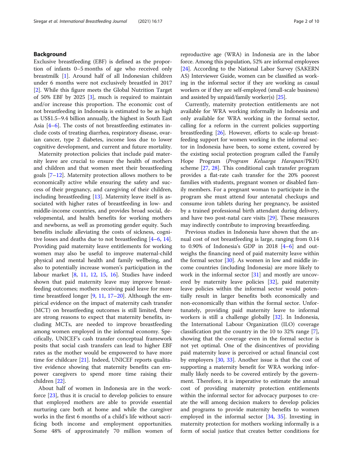# Background

Exclusive breastfeeding (EBF) is defined as the proportion of infants 0–5 months of age who received only breastmilk [[1](#page-10-0)]. Around half of all Indonesian children under 6 months were not exclusively breastfed in 2017 [[2\]](#page-10-0). While this figure meets the Global Nutrition Target of 50% EBF by 2025 [\[3\]](#page-10-0), much is required to maintain and/or increase this proportion. The economic cost of not breastfeeding in Indonesia is estimated to be as high as US\$1.5–9.4 billion annually, the highest in South East Asia [\[4](#page-10-0)–[6](#page-10-0)]. The costs of not breastfeeding estimates include costs of treating diarrhea, respiratory disease, ovarian cancer, type 2 diabetes, income loss due to lower cognitive development, and current and future mortality.

Maternity protection policies that include paid maternity leave are crucial to ensure the health of mothers and children and that women meet their breastfeeding goals [[7](#page-10-0)–[12\]](#page-10-0). Maternity protection allows mothers to be economically active while ensuring the safety and success of their pregnancy, and caregiving of their children, including breastfeeding [\[13](#page-10-0)]. Maternity leave itself is associated with higher rates of breastfeeding in low- and middle-income countries, and provides broad social, developmental, and health benefits for working mothers and newborns, as well as promoting gender equity. Such benefits include alleviating the costs of sickness, cognitive losses and deaths due to not breastfeeding [\[4](#page-10-0)–[6](#page-10-0), [14](#page-10-0)]. Providing paid maternity leave entitlements for working women may also be useful to improve maternal-child physical and mental health and family wellbeing, and also to potentially increase women's participation in the labour market [\[8](#page-10-0), [11,](#page-10-0) [12](#page-10-0), [15](#page-10-0), [16\]](#page-10-0). Studies have indeed shown that paid maternity leave may improve breastfeeding outcomes; mothers receiving paid leave for more time breastfeed longer [[9,](#page-10-0) [11](#page-10-0), [17](#page-10-0)–[20](#page-10-0)]. Although the empirical evidence on the impact of maternity cash transfer (MCT) on breastfeeding outcomes is still limited, there are strong reasons to expect that maternity benefits, including MCTs, are needed to improve breastfeeding among women employed in the informal economy. Specifically, UNICEF's cash transfer conceptual framework posits that social cash transfers can lead to higher EBF rates as the mother would be empowered to have more time for childcare [[21](#page-10-0)]. Indeed, UNICEF reports qualitative evidence showing that maternity benefits can empower caregivers to spend more time raising their children [\[22](#page-10-0)].

About half of women in Indonesia are in the workforce  $[23]$  $[23]$  $[23]$ , thus it is crucial to develop policies to ensure that employed mothers are able to provide essential nurturing care both at home and while the caregiver works in the first 6 months of a child's life without sacrificing both income and employment opportunities. Some 48% of approximately 70 million women of reproductive age (WRA) in Indonesia are in the labor force. Among this population, 52% are informal employees [[24](#page-10-0)]. According to the National Labor Survey (SAKERN AS) Interviewer Guide, women can be classified as working in the informal sector if they are working as casual workers or if they are self-employed (small-scale business) and assisted by unpaid/family worker(s) [\[25\]](#page-11-0).

Currently, maternity protection entitlements are not available for WRA working informally in Indonesia and only available for WRA working in the formal sector, calling for a reform in the current policies supporting breastfeeding [\[26](#page-11-0)]. However, efforts to scale-up breastfeeding support for women working in the informal sector in Indonesia have been, to some extent, covered by the existing social protection program called the Family Hope Program (Program Keluarga Harapan/PKH) scheme [[27,](#page-11-0) [28](#page-11-0)]. This conditional cash transfer program provides a flat-rate cash transfer for the 20% poorest families with students, pregnant women or disabled family members. For a pregnant woman to participate in the program she must attend four antenatal checkups and consume iron tablets during her pregnancy, be assisted by a trained professional birth attendant during delivery, and have two post-natal care visits [\[29](#page-11-0)]. These measures may indirectly contribute to improving breastfeeding.

Previous studies in Indonesia have shown that the annual cost of not breastfeeding is large, ranging from 0.14 to 0.90% of Indonesia's GDP in 2018  $[4-6]$  $[4-6]$  $[4-6]$  and outweighs the financing need of paid maternity leave within the formal sector  $[30]$ . As women in low and middle income countries (including Indonesia) are more likely to work in the informal sector [\[31](#page-11-0)] and mostly are uncovered by maternity leave policies [[32\]](#page-11-0), paid maternity leave policies within the informal sector would potentially result in larger benefits both economically and non-economically than within the formal sector. Unfortunately, providing paid maternity leave to informal workers is still a challenge globally [[32](#page-11-0)]. In Indonesia, the International Labour Organization (ILO) coverage classification put the country in the 10 to 32% range [\[7](#page-10-0)], showing that the coverage even in the formal sector is not yet optimal. One of the disincentives of providing paid maternity leave is perceived or actual financial cost by employers [[30,](#page-11-0) [33\]](#page-11-0). Another issue is that the cost of supporting a maternity benefit for WRA working informally likely needs to be covered entirely by the government. Therefore, it is imperative to estimate the annual cost of providing maternity protection entitlements within the informal sector for advocacy purposes to create the will among decision makers to develop policies and programs to provide maternity benefits to women employed in the informal sector [[34,](#page-11-0) [35](#page-11-0)]. Investing in maternity protection for mothers working informally is a form of social justice that creates better conditions for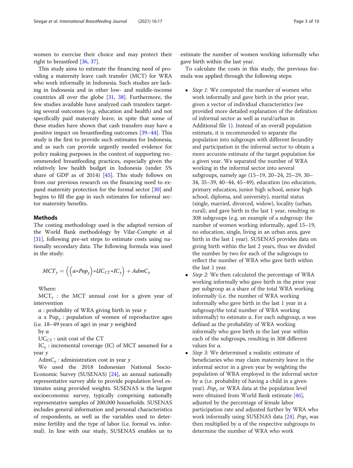women to exercise their choice and may protect their right to breastfeed [[36,](#page-11-0) [37\]](#page-11-0).

This study aims to estimate the financing need of providing a maternity leave cash transfer (MCT) for WRA who work informally in Indonesia. Such studies are lacking in Indonesia and in other low- and middle-income countries all over the globe [[31](#page-11-0), [38\]](#page-11-0). Furthermore, the few studies available have analyzed cash transfers targeting several outcomes (e.g. education and health) and not specifically paid maternity leave, in spite that some of these studies have shown that cash transfers may have a positive impact on breastfeeding outcomes [\[39](#page-11-0)–[44\]](#page-11-0). This study is the first to provide such estimates for Indonesia, and as such can provide urgently needed evidence for policy making purposes in the context of supporting recommended breastfeeding practices, especially given the relatively low health budget in Indonesia (under 5% share of GDP as of 2014) [[45\]](#page-11-0). This study follows on from our previous research on the financing need to expand maternity protection for the formal sector [\[30](#page-11-0)] and begins to fill the gap in such estimates for informal sector maternity benefits.

# **Methods**

The costing methodology used is the adapted version of the World Bank methodology by Vilar-Compte et al [[31\]](#page-11-0), following pre-set steps to estimate costs using nationally secondary data. The following formula was used in the study:

$$
MCT_y = \left( \left( \alpha * Pop_y \right) * UC_{CT} * IC_y \right) + AdmC_y
$$

Where:

 $MCT_v$  : the MCT annual cost for a given year of intervention

 $\alpha$  : probability of WRA giving birth in year  $\gamma$ 

 $\alpha$  x Pop<sub>y</sub>: population of women of reproductive ages (i.e.  $18-49$  years of age) in year  $\gamma$  weighted

by α

 $UC_{CT}$ : unit cost of the CT

 $IC_{v}$ : incremental coverage (IC) of MCT assumed for a year y

AdmC<sub>y</sub>: administration cost in year  $\gamma$ 

We used the 2018 Indonesian National Socio-Economic Survey (SUSENAS) [\[24](#page-10-0)], an annual nationally representative survey able to provide population level estimates using provided weights. SUSENAS is the largest socioeconomic survey, typically comprising nationally representative samples of 200,000 households. SUSENAS includes general information and personal characteristics of respondents, as well as the variables used to determine fertility and the type of labor (i.e. formal vs. informal). In line with our study, SUSENAS enables us to

estimate the number of women working informally who gave birth within the last year.

To calculate the costs in this study, the previous formula was applied through the following steps:

- Step 1: We computed the number of women who work informally and gave birth in the prior year, given a vector of individual characteristics (we provided more detailed explanation of the definition of informal sector as well as rural/urban in Additional file [1\)](#page-9-0). Instead of an overall population estimate, it is recommended to separate the population into subgroups with different fecundity and participation in the informal sector to obtain a more accurate estimate of the target population for a given year. We separated the number of WRA working in the informal sector into several subgroups, namely age (15–19, 20–24, 25–29, 30– 34, 35–39, 40–44, 45–49), education (no education, primary education, junior high school, senior high school, diploma, and university), marital status (single, married, divorced, widow), locality (urban, rural), and gave birth in the last 1 year, resulting in 308 subgroups (e.g. an example of a subgroup: the number of women working informally, aged 15–19, no education, single, living in an urban area, gave birth in the last 1 year). SUSENAS provides data on giving birth within the last 2 years, thus we divided the number by two for each of the subgroups to reflect the number of WRA who gave birth within the last 1 year.
- Step 2: We then calculated the percentage of WRA working informally who gave birth in the prior year per subgroup as a share of the total WRA working informally (i.e. the number of WRA working informally who gave birth in the last 1 year in a subgroup/the total number of WRA working informally) to estimate α. For each subgroup, α was defined as the probability of WRA working informally who gave birth in the last year within each of the subgroups, resulting in 308 different values for α.
- Step 3: We determined a realistic estimate of beneficiaries who may claim maternity leave in the informal sector in a given year by weighting the population of WRA employed in the informal sector by α (i.e. probability of having a child in a given year). Po $p_{\gamma}$  or WRA data at the population level were obtained from World Bank estimate [[46](#page-11-0)], adjusted by the percentage of female labor participation rate and adjusted further by WRA who work informally using SUSENAS data  $[24]$  $[24]$ . Pop<sub>y</sub> was then multiplied by α of the respective subgroups to determine the number of WRA who work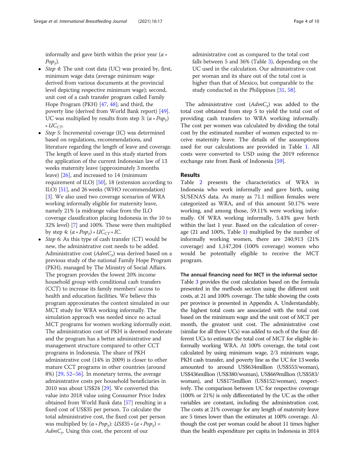informally and gave birth within the prior year ( $\alpha$  ∗  $Pop_{v}$ ).

- Step 4: The unit cost data (UC) was proxied by, first, minimum wage data (average minimum wage derived from various documents at the provincial level depicting respective minimum wage); second, unit cost of a cash transfer program called Family Hope Program (PKH) [[47](#page-11-0), [48](#page-11-0)]; and third, the poverty line (derived from World Bank report) [[49](#page-11-0)]. UC was multiplied by results from step 3:  $(\alpha * Pop_{\nu})$  $∗ UC<sub>CT</sub>$
- Step 5: Incremental coverage (IC) was determined based on regulations, recommendations, and literature regarding the length of leave and coverage. The length of leave used in this study started from the application of the current Indonesian law of 13 weeks maternity leave (approximately 3 months leave) [[26](#page-11-0)], and increased to 14 (minimum requirement of ILO) [\[50](#page-11-0)], 18 (extension according to ILO) [\[51\]](#page-11-0), and 26 weeks (WHO recommendation) [[3\]](#page-10-0). We also used two coverage scenarios of WRA working informally eligible for maternity leave, namely 21% (a midrange value from the ILO coverage classification placing Indonesia in the 10 to 32% level) [\[7\]](#page-10-0) and 100%. These were then multiplied by step 4:  $(\alpha * Pop_{\nu}) * UC_{CT} * IC$ .
- Step 6: As this type of cash transfer  $(CT)$  would be new, the administrative cost needs to be added. Administrative cost  $(AdmC_v)$  was derived based on a previous study of the national Family Hope Program (PKH), managed by The Ministry of Social Affairs. The program provides the lowest 20% income household group with conditional cash transfers (CCT) to increase its family members' access to health and education facilities. We believe this program approximates the context simulated in our MCT study for WRA working informally. The simulation approach was needed since no actual MCT programs for women working informally exist. The administration cost of PKH is deemed moderate and the program has a better administrative and management structure compared to other CCT programs in Indonesia. The share of PKH administrative cost (14% in 2009) is closer to other mature CCT programs in other countries (around 8%) [\[29](#page-11-0), [52](#page-11-0)–[56](#page-11-0)]. In monetary terms, the average administrative costs per household beneficiaries in 2010 was about US\$24  $[29]$  $[29]$  $[29]$ . We converted this value into 2018 value using Consumer Price Index obtained from World Bank data [[57](#page-11-0)] resulting in a fixed cost of US\$35 per person. To calculate the total administrative cost, the fixed cost per person was multiplied by  $(\alpha * Pop_{\gamma})$ : US\$35  $*(\alpha * Pop_{\gamma})$  =  $AdmC<sub>y</sub>$ . Using this cost, the percent of our

administrative cost as compared to the total cost falls between 5 and 36% (Table [3\)](#page-7-0), depending on the UC used in the calculation. Our administrative cost per woman and its share out of the total cost is higher than that of Mexico, but comparable to the study conducted in the Philippines [[31](#page-11-0), [58](#page-11-0)].

The administrative cost  $(AdmC_y)$  was added to the total cost obtained from step 5 to yield the total cost of providing cash transfers to WRA working informally. The cost per women was calculated by dividing the total cost by the estimated number of women expected to receive maternity leave. The details of the assumptions used for our calculations are provided in Table [1.](#page-6-0) All costs were converted to USD using the 2019 reference exchange rate from Bank of Indonesia [[59\]](#page-11-0).

# Results

Table [2](#page-6-0) presents the characteristics of WRA in Indonesia who work informally and gave birth, using SUSENAS data. As many as 71.1 million females were categorized as WRA, and of this amount 50.17% were working, and among those, 59.11% were working informally. Of WRA working informally, 5.43% gave birth within the last 1 year. Based on the calculation of coverage (21 and 100%, Table [1\)](#page-6-0) multiplied by the number of informally working women, there are 240,913 (21% coverage) and 1,147,204 (100% coverage) women who would be potentially eligible to receive the MCT program.

The annual financing need for MCT in the informal sector Table [3](#page-7-0) provides the cost calculation based on the formula presented in the methods section using the different unit costs, at 21 and 100% coverage. The table showing the costs per province is presented in Appendix A. Understandably, the highest total costs are associated with the total cost based on the minimum wage and the unit cost of MCT per month, the greatest unit cost. The administrative cost (similar for all three UCs) was added to each of the four different UCs to estimate the total cost of MCT for eligible informally working WRA. At 100% coverage, the total cost calculated by using minimum wage, 2/3 minimum wage, PKH cash transfer, and poverty line as the UC for 13 weeks amounted to around US\$634million (US\$553/woman), US\$436million (US\$380/woman), US\$669million (US\$583/ woman), and US\$175million (US\$152/woman), respectively. The comparison between UC for respective coverage (100% or 21%) is only differentiated by the UC as the other variables are constant, including the administration cost. The costs at 21% coverage for any length of maternity leave are 5 times lower than the estimates at 100% coverage. Although the cost per woman could be about 11 times higher than the health expenditure per capita in Indonesia in 2014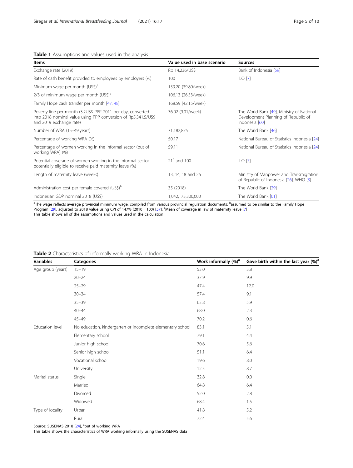# <span id="page-6-0"></span>Table 1 Assumptions and values used in the analysis

| <b>Items</b>                                                                                                                                             | Value used in base scenario | <b>Sources</b>                                                                                     |
|----------------------------------------------------------------------------------------------------------------------------------------------------------|-----------------------------|----------------------------------------------------------------------------------------------------|
| Exchange rate (2019)                                                                                                                                     | Rp 14,236/US\$              | Bank of Indonesia [59]                                                                             |
| Rate of cash benefit provided to employees by employers (%)                                                                                              | 100                         | $ILO$ [7]                                                                                          |
| Minimum wage per month (US\$) <sup>a</sup>                                                                                                               | 159.20 (39.80/week)         |                                                                                                    |
| 2/3 of minimum wage per month $(US\$ )^{a}                                                                                                               | 106.13 (26.53/week)         |                                                                                                    |
| Family Hope cash transfer per month [47, 48]                                                                                                             | 168.59 (42.15/week)         |                                                                                                    |
| Poverty line per month (3.2US\$ PPP 2011 per day, converted<br>into 2018 nominal value using PPP conversion of Rp5,341.5/US\$<br>and 2019 exchange rate) | 36.02 (9.01/week)           | The World Bank [49], Ministry of National<br>Development Planning of Republic of<br>Indonesia [60] |
| Number of WRA (15-49 years)                                                                                                                              | 71,182,875                  | The World Bank [46]                                                                                |
| Percentage of working WRA (%)                                                                                                                            | 50.17                       | National Bureau of Statistics Indonesia [24]                                                       |
| Percentage of women working in the informal sector (out of<br>working WRA) (%)                                                                           | 59.11                       | National Bureau of Statistics Indonesia [24]                                                       |
| Potential coverage of women working in the informal sector<br>potentially eligible to receive paid maternity leave (%)                                   | $21c$ and 100               | $ILO$ [7]                                                                                          |
| Length of maternity leave (weeks)                                                                                                                        | 13, 14, 18 and 26           | Ministry of Manpower and Transmigration<br>of Republic of Indonesia [26], WHO [3]                  |
| Administration cost per female covered (US\$) <sup>b</sup>                                                                                               | 35 (2018)                   | The World Bank [29]                                                                                |
| Indonesian GDP nominal 2018 (US\$)                                                                                                                       | 1,042,173,300,000           | The World Bank [61]                                                                                |

<sup>a</sup>The wage reflects average provincial minimum wage, compiled from various provincial regulation documents; <sup>b</sup>assumed to be similar to the Family Hope<br>Program [[29](#page-11-0)], adjusted to 2018 value using CPI of 14[7](#page-10-0)% (2010 = 100) [ This table shows all of the assumptions and values used in the calculation

# Table 2 Characteristics of informally working WRA in Indonesia

| <b>Variables</b>  | <b>Categories</b>                                          | Work informally $(\%)^a$ | Gave birth within the last year (%) <sup>a</sup> |
|-------------------|------------------------------------------------------------|--------------------------|--------------------------------------------------|
| Age group (years) | $15 - 19$                                                  | 53.0                     | 3.8                                              |
|                   | $20 - 24$                                                  | 37.9                     | 9.9                                              |
|                   | $25 - 29$                                                  | 47.4                     | 12.0                                             |
|                   | $30 - 34$                                                  | 57.4                     | 9.1                                              |
|                   | $35 - 39$                                                  | 63.8                     | 5.9                                              |
|                   | $40 - 44$                                                  | 68.0                     | 2.3                                              |
|                   | $45 - 49$                                                  | 70.2                     | 0.6                                              |
| Education level   | No education, kindergarten or incomplete elementary school | 83.1                     | 5.1                                              |
|                   | Elementary school                                          | 79.1                     | 4.4                                              |
|                   | Junior high school                                         | 70.6                     | 5.6                                              |
|                   | Senior high school                                         | 51.1                     | 6.4                                              |
|                   | Vocational school                                          | 19.6                     | 8.0                                              |
|                   | University                                                 | 12.5                     | 8.7                                              |
| Marital status    | Single                                                     | 32.8                     | 0.0                                              |
|                   | Married                                                    | 64.8                     | 6.4                                              |
|                   | Divorced                                                   | 52.0                     | $2.8\,$                                          |
|                   | Widowed                                                    | 68.4                     | 1.5                                              |
| Type of locality  | Urban                                                      | 41.8                     | 5.2                                              |
|                   | Rural                                                      | 72.4                     | 5.6                                              |

Source: SUSENAS 2018 [[24\]](#page-10-0), <sup>a</sup>out of working WRA

This table shows the characteristics of WRA working informally using the SUSENAS data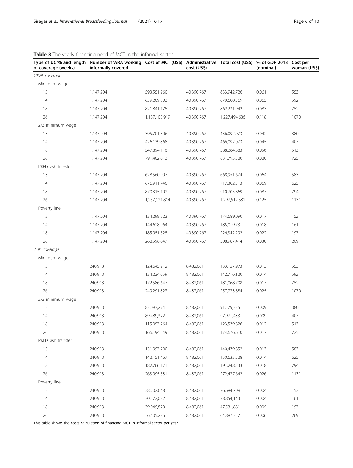| of coverage (weeks) | Type of UC/% and length Number of WRA working Cost of MCT (US\$)<br>informally covered |               | cost (US\$) | Administrative Total cost (US\$) | % of GDP 2018<br>(nominal) | Cost per<br>woman (US\$) |
|---------------------|----------------------------------------------------------------------------------------|---------------|-------------|----------------------------------|----------------------------|--------------------------|
| 100% coverage       |                                                                                        |               |             |                                  |                            |                          |
| Minimum wage        |                                                                                        |               |             |                                  |                            |                          |
| 13                  | 1,147,204                                                                              | 593,551,960   | 40,390,767  | 633,942,726                      | 0.061                      | 553                      |
| 14                  | 1,147,204                                                                              | 639,209,803   | 40,390,767  | 679,600,569                      | 0.065                      | 592                      |
| 18                  | 1,147,204                                                                              | 821,841,175   | 40,390,767  | 862,231,942                      | 0.083                      | 752                      |
| 26                  | 1,147,204                                                                              | 1,187,103,919 | 40,390,767  | 1,227,494,686                    | 0.118                      | 1070                     |
| 2/3 minimum wage    |                                                                                        |               |             |                                  |                            |                          |
| 13                  | 1,147,204                                                                              | 395,701,306   | 40,390,767  | 436,092,073                      | 0.042                      | 380                      |
| 14                  | 1,147,204                                                                              | 426,139,868   | 40,390,767  | 466,092,073                      | 0.045                      | 407                      |
| 18                  | 1,147,204                                                                              | 547,894,116   | 40,390,767  | 588,284,883                      | 0.056                      | 513                      |
| 26                  | 1,147,204                                                                              | 791,402,613   | 40,390,767  | 831,793,380                      | 0.080                      | 725                      |
| PKH Cash transfer   |                                                                                        |               |             |                                  |                            |                          |
| 13                  | 1,147,204                                                                              | 628,560,907   | 40,390,767  | 668,951,674                      | 0.064                      | 583                      |
| 14                  | 1,147,204                                                                              | 676,911,746   | 40,390,767  | 717,302,513                      | 0.069                      | 625                      |
| 18                  | 1,147,204                                                                              | 870,315,102   | 40,390,767  | 910,705,869                      | 0.087                      | 794                      |
| 26                  | 1,147,204                                                                              | 1,257,121,814 | 40,390,767  | 1,297,512,581                    | 0.125                      | 1131                     |
| Poverty line        |                                                                                        |               |             |                                  |                            |                          |
| 13                  | 1,147,204                                                                              | 134,298,323   | 40,390,767  | 174,689,090                      | 0.017                      | 152                      |
| 14                  | 1,147,204                                                                              | 144,628,964   | 40,390,767  | 185,019,731                      | 0.018                      | 161                      |
| 18                  | 1,147,204                                                                              | 185,951,525   | 40,390,767  | 226,342,292                      | 0.022                      | 197                      |
| 26                  | 1,147,204                                                                              | 268,596,647   | 40,390,767  | 308,987,414                      | 0.030                      | 269                      |
| 21% coverage        |                                                                                        |               |             |                                  |                            |                          |
| Minimum wage        |                                                                                        |               |             |                                  |                            |                          |
| 13                  | 240,913                                                                                | 124,645,912   | 8,482,061   | 133,127,973                      | 0.013                      | 553                      |
| 14                  | 240,913                                                                                | 134,234,059   | 8,482,061   | 142,716,120                      | 0.014                      | 592                      |
| 18                  | 240,913                                                                                | 172,586,647   | 8,482,061   | 181,068,708                      | 0.017                      | 752                      |
| 26                  | 240,913                                                                                | 249,291,823   | 8,482,061   | 257,773,884                      | 0.025                      | 1070                     |
| 2/3 minimum wage    |                                                                                        |               |             |                                  |                            |                          |
| 13                  | 240,913                                                                                | 83,097,274    | 8,482,061   | 91,579,335                       | 0.009                      | 380                      |
| 14                  | 240,913                                                                                | 89,489,372    | 8,482,061   | 97,971,433                       | 0.009                      | 407                      |
| 18                  | 240,913                                                                                | 115,057,764   | 8,482,061   | 123,539,826                      | 0.012                      | 513                      |
| 26                  | 240,913                                                                                | 166,194,549   | 8,482,061   | 174,676,610                      | 0.017                      | 725                      |
| PKH Cash transfer   |                                                                                        |               |             |                                  |                            |                          |
| 13                  | 240,913                                                                                | 131,997,790   | 8,482,061   | 140,479,852                      | 0.013                      | 583                      |
| 14                  | 240,913                                                                                | 142,151,467   | 8,482,061   | 150,633,528                      | 0.014                      | 625                      |
| 18                  | 240,913                                                                                | 182,766,171   | 8,482,061   | 191,248,233                      | 0.018                      | 794                      |
| 26                  | 240,913                                                                                | 263,995,581   | 8,482,061   | 272,477,642                      | 0.026                      | 1131                     |

13 240,913 28,202,648 8,482,061 36,684,709 0.004 152 14 240,913 30,372,082 8,482,061 38,854,143 0.004 161 18 240,913 39,049,820 8,482,061 47,531,881 0.005 197 26 240,913 56,405,296 8,482,061 64,887,357 0.006 269

<span id="page-7-0"></span>Table 3 The yearly financing need of MCT in the informal

This table shows the costs calculation of financing MCT in informal sector per year

Poverty line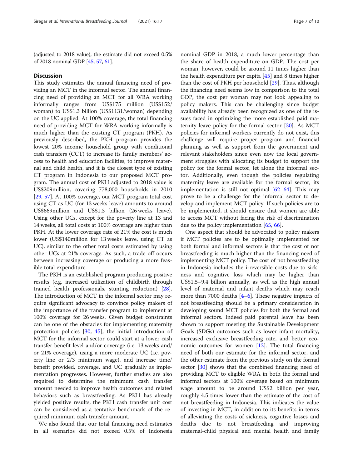(adjusted to 2018 value), the estimate did not exceed 0.5% of 2018 nominal GDP [\[45,](#page-11-0) [57,](#page-11-0) [61\]](#page-11-0).

#### **Discussion**

This study estimates the annual financing need of providing an MCT in the informal sector. The annual financing need of providing an MCT for all WRA working informally ranges from US\$175 million (US\$152/ woman) to US\$1.3 billion (US\$1131/woman) depending on the UC applied. At 100% coverage, the total financing need of providing MCT for WRA working informally is much higher than the existing CT program (PKH). As previously described, the PKH program provides the lowest 20% income household group with conditional cash transfers (CCT) to increase its family members' access to health and education facilities, to improve maternal and child health, and it is the closest type of existing CT program in Indonesia to our proposed MCT program. The annual cost of PKH adjusted to 2018 value is US\$209million, covering 778,000 households in 2010 [[29,](#page-11-0) [57\]](#page-11-0). At 100% coverage, our MCT program total cost using CT as UC (for 13 weeks leave) amounts to around US\$669million and US\$1.3 billion (26 weeks leave). Using other UCs, except for the poverty line at 13 and 14 weeks, all total costs at 100% coverage are higher than PKH. At the lower coverage rate of 21% the cost is much lower (US\$140million for 13 weeks leave, using CT as UC), similar to the other total costs estimated by using other UCs at 21% coverage. As such, a trade off occurs between increasing coverage or producing a more feasible total expenditure.

The PKH is an established program producing positive results (e.g. increased utilization of childbirth through trained health professionals, stunting reduction) [\[28](#page-11-0)]. The introduction of MCT in the informal sector may require significant advocacy to convince policy makers of the importance of the transfer program to implement at 100% coverage for 26 weeks. Given budget constraints can be one of the obstacles for implementing maternity protection policies [[30,](#page-11-0) [45\]](#page-11-0), the initial introduction of MCT for the informal sector could start at a lower cash transfer benefit level and/or coverage (i.e. 13 weeks and/ or 21% coverage), using a more moderate UC (i.e. poverty line or 2/3 minimum wage), and increase time/ benefit provided, coverage, and UC gradually as implementation progresses. However, further studies are also required to determine the minimum cash transfer amount needed to improve health outcomes and related behaviors such as breastfeeding. As PKH has already yielded positive results, the PKH cash transfer unit cost can be considered as a tentative benchmark of the required minimum cash transfer amount.

We also found that our total financing need estimates in all scenarios did not exceed 0.5% of Indonesia

nominal GDP in 2018, a much lower percentage than the share of health expenditure on GDP. The cost per woman, however, could be around 11 times higher than the health expenditure per capita [\[45](#page-11-0)] and 8 times higher than the cost of PKH per household [[29\]](#page-11-0). Thus, although the financing need seems low in comparison to the total GDP, the cost per woman may not look appealing to policy makers. This can be challenging since budget availability has already been recognized as one of the issues faced in optimizing the more established paid maternity leave policy for the formal sector [[30](#page-11-0)]. As MCT policies for informal workers currently do not exist, this challenge will require proper program and financial planning as well as support from the government and relevant stakeholders since even now the local government struggles with allocating its budget to support the policy for the formal sector, let alone the informal sector. Additionally, even though the policies regulating maternity leave are available for the formal sector, its implementation is still not optimal  $[62-64]$  $[62-64]$  $[62-64]$  $[62-64]$  $[62-64]$ . This may prove to be a challenge for the informal sector to develop and implement MCT policy. If such policies are to be implemented, it should ensure that women are able to access MCT without facing the risk of discrimination due to the policy implementation [[65](#page-11-0), [66](#page-11-0)].

One aspect that should be advocated to policy makers if MCT policies are to be optimally implemented for both formal and informal sectors is that the cost of not breastfeeding is much higher than the financing need of implementing MCT policy. The cost of not breastfeeding in Indonesia includes the irreversible costs due to sickness and cognitive loss which may be higher than US\$1.5–9.4 billion annually, as well as the high annual level of maternal and infant deaths which may reach more than 7000 deaths  $[4-6]$  $[4-6]$  $[4-6]$  $[4-6]$  $[4-6]$ . These negative impacts of not breastfeeding should be a primary consideration in developing sound MCT policies for both the formal and informal sectors. Indeed paid parental leave has been shown to support meeting the Sustainable Development Goals (SDGs) outcomes such as lower infant mortality, increased exclusive breastfeeding rate, and better economic outcomes for women [\[12](#page-10-0)]. The total financing need of both our estimate for the informal sector, and the other estimate from the previous study on the formal sector [[30\]](#page-11-0) shows that the combined financing need of providing MCT to eligible WRA in both the formal and informal sectors at 100% coverage based on minimum wage amount to be around US\$2 billion per year, roughly 4.5 times lower than the estimate of the cost of not breastfeeding in Indonesia. This indicates the value of investing in MCT, in addition to its benefits in terms of alleviating the costs of sickness, cognitive losses and deaths due to not breastfeeding and improving maternal-child physical and mental health and family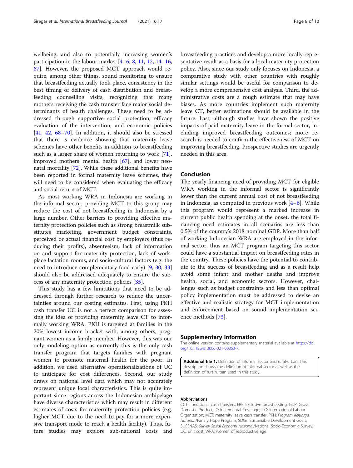<span id="page-9-0"></span>wellbeing, and also to potentially increasing women's participation in the labour market [\[4](#page-10-0)–[6,](#page-10-0) [8,](#page-10-0) [11,](#page-10-0) [12,](#page-10-0) [14](#page-10-0)–[16](#page-10-0), [67\]](#page-11-0). However, the proposed MCT approach would require, among other things, sound monitoring to ensure that breastfeeding actually took place, consistency in the best timing of delivery of cash distribution and breastfeeding counselling visits, recognizing that many mothers receiving the cash transfer face major social determinants of health challenges. These need to be addressed through supportive social protection, efficacy evaluation of the intervention, and economic policies [[41,](#page-11-0) [42](#page-11-0), [68](#page-11-0)–[70](#page-11-0)]. In addition, it should also be stressed that there is evidence showing that maternity leave schemes have other benefits in addition to breastfeeding such as a larger share of women returning to work [\[71](#page-11-0)], improved mothers' mental health [[67](#page-11-0)], and lower neonatal mortality [\[72](#page-11-0)]. While these additional benefits have been reported in formal maternity leave schemes, they will need to be considered when evaluating the efficacy and social return of MCT.

As most working WRA in Indonesia are working in the informal sector, providing MCT to this group may reduce the cost of not breastfeeding in Indonesia by a large number. Other barriers to providing effective maternity protection policies such as strong breastmilk substitutes marketing, government budget constraints, perceived or actual financial cost by employers (thus reducing their profits), absenteeism, lack of information on and support for maternity protection, lack of workplace lactation rooms, and socio-cultural factors (e.g. the need to introduce complementary food early) [[9,](#page-10-0) [30](#page-11-0), [33](#page-11-0)] should also be addressed adequately to ensure the success of any maternity protection policies [\[35](#page-11-0)].

This study has a few limitations that need to be addressed through further research to reduce the uncertainties around our costing estimates. First, using PKH cash transfer UC is not a perfect comparison for assessing the idea of providing maternity leave CT to informally working WRA. PKH is targeted at families in the 20% lowest income bracket with, among others, pregnant women as a family member. However, this was our only modeling option as currently this is the only cash transfer program that targets families with pregnant women to promote maternal health for the poor. In addition, we used alternative operationalizations of UC to anticipate for cost differences. Second, our study draws on national level data which may not accurately represent unique local characteristics. This is quite important since regions across the Indonesian archipelago have diverse characteristics which may result in different estimates of costs for maternity protection policies (e.g. higher MCT due to the need to pay for a more expensive transport mode to reach a health facility). Thus, future studies may explore sub-national costs and

breastfeeding practices and develop a more locally representative result as a basis for a local maternity protection policy. Also, since our study only focuses on Indonesia, a comparative study with other countries with roughly similar settings would be useful for comparison to develop a more comprehensive cost analysis. Third, the administrative costs are a rough estimate that may have biases. As more countries implement such maternity leave CT, better estimations should be available in the future. Last, although studies have shown the positive impacts of paid maternity leave in the formal sector, including improved breastfeeding outcomes; more research is needed to confirm the effectiveness of MCT on improving breastfeeding. Prospective studies are urgently needed in this area.

## Conclusion

The yearly financing need of providing MCT for eligible WRA working in the informal sector is significantly lower than the current annual cost of not breastfeeding in Indonesia, as computed in previous work [[4](#page-10-0)–[6\]](#page-10-0). While this program would represent a marked increase in current public health spending at the onset, the total financing need estimates in all scenarios are less than 0.5% of the country's 2018 nominal GDP. More than half of working Indonesian WRA are employed in the informal sector, thus an MCT program targeting this sector could have a substantial impact on breastfeeding rates in the country. These policies have the potential to contribute to the success of breastfeeding and as a result help avoid some infant and mother deaths and improve health, social, and economic sectors. However, challenges such as budget constraints and less than optimal policy implementation must be addressed to devise an effective and realistic strategy for MCT implementation and enforcement based on sound implementation science methods [[73](#page-11-0)].

#### Supplementary Information

The online version contains supplementary material available at [https://doi.](https://doi.org/10.1186/s13006-021-00363-7) [org/10.1186/s13006-021-00363-7.](https://doi.org/10.1186/s13006-021-00363-7)

Additional file 1. Definition of informal sector and rural/urban. This description shows the definition of informal sector as well as the definition of rural/urban used in this study.

#### Abbreviations

CCT: conditional cash transfers; EBF: Exclusive breastfeeding; GDP: Gross Domestic Product; IC: incremental Coverage; ILO: International Labour Organization; MCT: maternity leave cash transfer; PKH: Program Keluarga Harapan/Family Hope Program; SDGs: Sustainable Development Goals; SUSENAS: Survey Sosial Ekonomi Nasional/National Socio-Economic Survey; UC: unit cost; WRA: women of reproductive age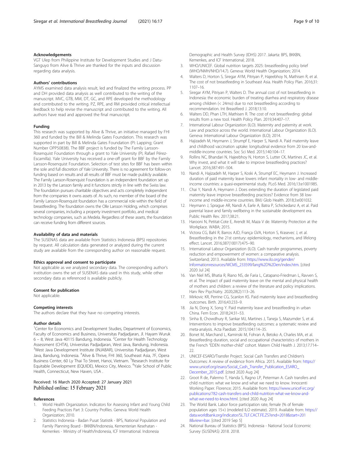#### <span id="page-10-0"></span>Acknowledgements

VGT Ulep from Philippine Institute for Development Studies and J Datu-Sanguyo from Alive & Thrive are thanked for the inputs and discussion regarding data analysis.

#### Authors' contributions

AYMS examined data analysis result, led and finalized the writing process. PP and DH provided data analysis as well contributed to the writing of the manuscript. MVC, GTB, MM, DT, GC, and RPE developed the methodology and contributed to the writing. PZ, RPE, and RM provided critical intellectual feedback to help revise the manuscript and contributed to the writing. All authors have read and approved the final manuscript.

#### Funding

This research was supported by Alive & Thrive, an initiative managed by FHI 360 and funded by the Bill & Melinda Gates Foundation. This research was supported in part by Bill & Melinda Gates Foundation (PI: Lapping; Grant Number OPP50838). The BBF project is funded by The Family Larsson-Rosenquist Foundation through a grant to Yale University (PI, Rafael Pérez-Escamilla). Yale University has received a one-off grant for BBF by the Family Larsson-Rosenquist Foundation. Selection of test sites for BBF has been within the sole and full discretion of Yale University. There is no agreement for follow-on funding based on results and all results of BBF must be made publicly available. The Family Larsson-Rosenquist Foundation is an independent foundation set up in 2013 by the Larsson family and it functions strictly in line with the Swiss law. The foundation pursues charitable objectives and acts completely independent from the companies it owns assets of. As such, no member of the board of the Family Larsson-Rosenquist foundation has a commercial role within the field of breastfeeding. The foundation owns the Olle Larsson Holding, which comprises several companies, including a property investment portfolio, and medical technology companies, such as Medela. Regardless of these assets, the foundation can receive funding from different sources.

#### Availability of data and materials

The SUSENAS data are available from Statistics Indonesia (BPS) repositories by request. All calculation data generated or analyzed during the current study are available from the corresponding author on reasonable request.

#### Ethics approval and consent to participate

Not applicable as we analyzed secondary data. The corresponding author's institution owns the set of SUSENAS data used in this study, while other secondary data as referenced is available publicly.

#### Consent for publication

Not applicable.

#### Competing interests

The authors declare that they have no competing interests.

#### Author details

<sup>1</sup> Center for Economics and Development Studies, Department of Economics, Faculty of Economics and Business, Universitas Padjadjaran, Jl. Hayam Wuruk 6 - 8, West Java 40115 Bandung, Indonesia. <sup>2</sup> Center for Health Technology Assessment (CHTA), Universitas Padjadjaran, West Java, Bandung, Indonesia. <sup>3</sup>West Java Development Institute (INJABAR), Universitas Padjadjaran, West Java, Bandung, Indonesia. <sup>4</sup>Alive & Thrive, FHI 360, Southeast Asia, 7F, Opera Business Center, 60 Ly Thai To Street, Hanoi, Vietnam. <sup>5</sup>Research Institute for Equitable Development (EQUIDE), Mexico City, Mexico. <sup>6</sup>Yale School of Public Health, Connecticut, New Haven, USA .

#### Received: 16 March 2020 Accepted: 27 January 2021 Published online: 15 February 2021

#### References

- 1. World Health Organization. Indicators for Assessing Infant and Young Child Feeding Practices Part 3: Country Profiles. Geneva: World Health Organization; 2010.
- 2. Statistics Indonesia Badan Pusat Statistik BPS, National Population and Family Planning Board - BKKBN/Indonesia, Kementerian Kesehatan - Kemenkes - Ministry of Health/Indonesia, ICF International. Indonesia

Demographic and Health Survey (IDHS) 2017. Jakarta: BPS, BKKBN, Kemenkes, and ICF International; 2018.

- 3. WHO/UNICEF. Global nutrition targets 2025: breastfeeding policy brief (WHO/NMH/NHD/14.7). Geneva: World Health Organization; 2014.
- 4. Walters D, Horton S, Siregar AYM, Pitriyan P, Hajeebhoy N, Mathisen R, et al. The cost of not breastfeeding in Southeast Asia. Health Policy Plan. 2016;31: 1107–16.
- 5. Siregar AYM, Pitriyan P, Walters D. The annual cost of not breastfeeding in Indonesia: the economic burden of treating diarrhea and respiratory disease among children (< 24mo) due to not breastfeeding according to recommendation. Int Breastfeed J. 2018;13:10.
- 6. Walters DD, Phan LTH, Mathisen R. The cost of not breastfeeding: global results from a new tool. Health Policy Plan. 2019;34:407–17.
- 7. International Labour Organization (ILO). Maternity and paternity at work. Law and practice across the world. International Labour Organization (ILO). Geneva: International Labour Organization (ILO); 2014.
- 8. Hajizadeh M, Heymann J, Strumpf E, Harper S, Nandi A. Paid maternity leave and childhood vaccination uptake: longitudinal evidence from 20 low-andmiddle-income countries. Soc Sci Med. 2015;140:104–17.
- 9. Rollins NC, Bhandari N, Hajeebhoy N, Horton S, Lutter CK, Martines JC, et al. Why invest, and what it will take to improve breastfeeding practices? Lancet. 2016;387:491–504.
- 10. Nandi A, Hajizadeh M, Harper S, Koski A, Strumpf EC, Heymann J. Increased duration of paid maternity leave lowers infant mortality in low- and middleincome countries: a quasi-experimental study. PLoS Med. 2016;13:e1001985.
- 11. Chai Y, Nandi A, Heymann J. Does extending the duration of legislated paid maternity leave improve breastfeeding practices? Evidence from 38 lowincome and middle-income countries. BMJ Glob Health. 2018;3:e001032.
- 12. Heymann J, Sprague AR, Nandi A, Earle A, Batra P, Schickedanz A, et al. Paid parental leave and family wellbeing in the sustainable development era. Public Health Rev. 2017;38:21.
- 13. Harooni N, Petitat-Cote E, Arendt M, Maza V de. Maternity Protection at the Workplace. WABA; 2015.
- 14. Victora CG, Bahl R, Barros AJD, França GVA, Horton S, Krasevec J, et al. Breastfeeding in the 21st century: epidemiology, mechanisms, and lifelong effect. Lancet. 2016;387(10017):475–90.
- 15. International Labour Organization (ILO). Cash transfer programmes, poverty reduction and empowerment of women: a comparative analysis. Switzerland; 2013. Available from: [https://www.ilo.org/gender/](https://www.ilo.org/gender/Informationresources/WCMS_233599/lang%2D%2Den/index.htm) [Informationresources/WCMS\\_233599/lang%2D%2Den/index.htm](https://www.ilo.org/gender/Informationresources/WCMS_233599/lang%2D%2Den/index.htm). [cited 2020 Jul 24]
- 16. Van Niel MS, Bhatia R, Riano NS, de Faria L, Catapano-Friedman L, Ravven S, et al. The impact of paid maternity leave on the mental and physical health of mothers and children: a review of the literature and policy implications. Harv Rev Psychiatry. 2020;28(2):113–26.
- 17. Mirkovic KR, Perrine CG, Scanlon KS. Paid maternity leave and breastfeeding outcomes. Birth. 2016;43:233–9.
- 18. Jia N, Dong X, Song Y. Paid maternity leave and breastfeeding in urban China. Fem Econ. 2018;24:31–53.
- 19. Sinha B, Chowdhury R, Sankar MJ, Martines J, Taneja S, Mazumder S, et al. Interventions to improve breastfeeding outcomes: a systematic review and meta-analysis. Acta Paediatr. 2015;104:114–35.
- 20. Bonet M, Marchand L, Kaminski M, Fohran A, Betoko A, Charles MA, et al. Breastfeeding duration, social and occupational characteristics of mothers in the French "EDEN mother-child" cohort. Matern Child Health J. 2013;17:714– 22.
- 21. UNICEF-ESARO/Transfer Project. Social Cash Transfers and Children's Outcomes: A review of evidence from Africa. 2015. Available from: [https://](https://www.unicef.org/esaro/Social_Cash_Transfer_Publication_ESARO_December_2015.pdf) [www.unicef.org/esaro/Social\\_Cash\\_Transfer\\_Publication\\_ESARO\\_](https://www.unicef.org/esaro/Social_Cash_Transfer_Publication_ESARO_December_2015.pdf) [December\\_2015.pdf](https://www.unicef.org/esaro/Social_Cash_Transfer_Publication_ESARO_December_2015.pdf). [cited 2020 Aug 24]
- 22. Groot R de, Palermo T, Handa S, Ragno LP, Peterman A. Cash transfers and child nutrition: what we know and what we need to know. Innocenti Working Paper. Florence; 2015. Available from: [https://www.unicef-irc.org/](https://www.unicef-irc.org/publications/782-cash-transfers-and-child-nutrition-what-we-know-and-what-we-need-to-know.html) [publications/782-cash-transfers-and-child-nutrition-what-we-know-and](https://www.unicef-irc.org/publications/782-cash-transfers-and-child-nutrition-what-we-know-and-what-we-need-to-know.html)[what-we-need-to-know.html](https://www.unicef-irc.org/publications/782-cash-transfers-and-child-nutrition-what-we-know-and-what-we-need-to-know.html). [cited 2020 Aug 24]
- 23. The World Bank. Labor force participation rate, female (% of female population ages 15+) (modeled ILO estimate). 2019. Available from: [https://](https://data.worldbank.org/indicator/SL.TLF.CACT.FE.ZS?end=2018&start=2018&view=bar) [data.worldbank.org/indicator/SL.TLF.CACT.FE.ZS?end=2018&start=201](https://data.worldbank.org/indicator/SL.TLF.CACT.FE.ZS?end=2018&start=2018&view=bar) [8&view=bar.](https://data.worldbank.org/indicator/SL.TLF.CACT.FE.ZS?end=2018&start=2018&view=bar) [cited 2019 Sep 5]
- 24. National Bureau of Statistics (BPS). Indonesia National Social Economic Survey (SUSENAS) 2018. 2018.